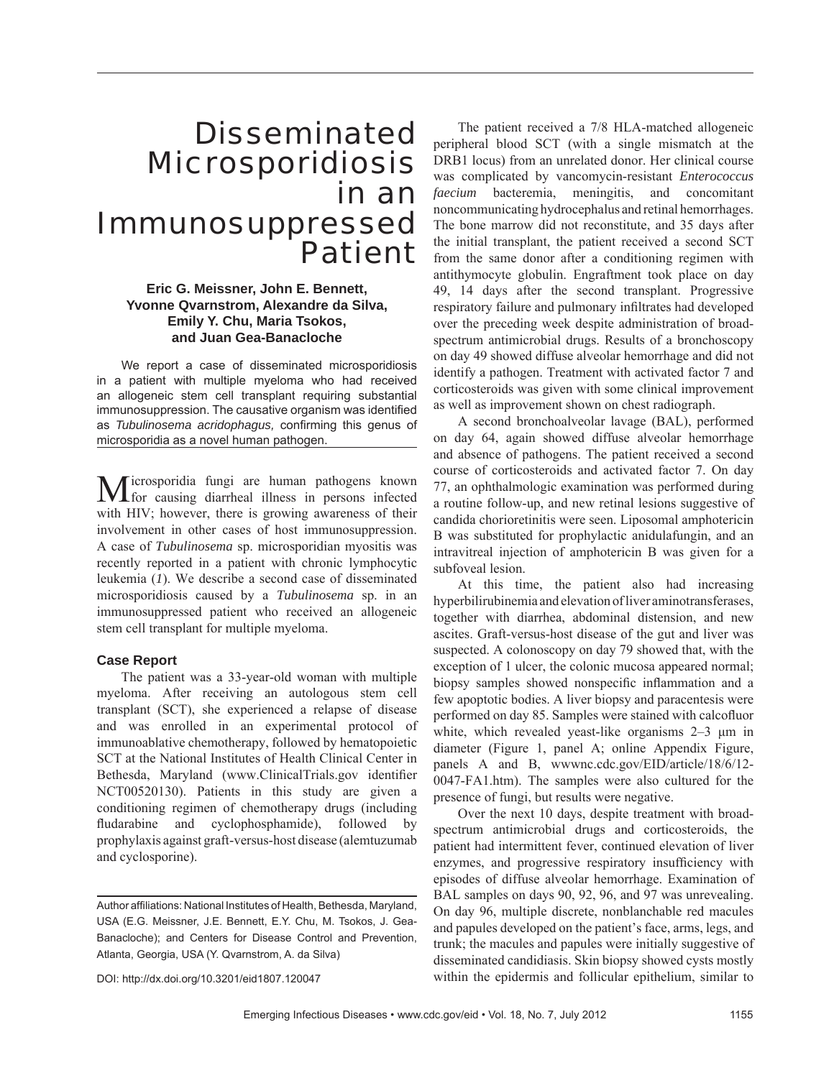# Disseminated Microsporidiosis in an Immunosuppressed Patient

# **Eric G. Meissner, John E. Bennett, Yvonne Qvarnstrom, Alexandre da Silva, Emily Y. Chu, Maria Tsokos, and Juan Gea-Banacloche**

We report a case of disseminated microsporidiosis in a patient with multiple myeloma who had received an allogeneic stem cell transplant requiring substantial immunosuppression. The causative organism was identified as *Tubulinosema acridophagus*, confirming this genus of microsporidia as a novel human pathogen.

Microsporidia fungi are human pathogens known for causing diarrheal illness in persons infected with HIV; however, there is growing awareness of their involvement in other cases of host immunosuppression. A case of *Tubulinosema* sp. microsporidian myositis was recently reported in a patient with chronic lymphocytic leukemia (*1*). We describe a second case of disseminated microsporidiosis caused by a *Tubulinosema* sp. in an immunosuppressed patient who received an allogeneic stem cell transplant for multiple myeloma.

## **Case Report**

The patient was a 33-year-old woman with multiple myeloma. After receiving an autologous stem cell transplant (SCT), she experienced a relapse of disease and was enrolled in an experimental protocol of immunoablative chemotherapy, followed by hematopoietic SCT at the National Institutes of Health Clinical Center in Bethesda, Maryland (www.ClinicalTrials.gov identifier NCT00520130). Patients in this study are given a conditioning regimen of chemotherapy drugs (including fludarabine and cyclophosphamide), followed by prophylaxis against graft-versus-host disease (alemtuzumab and cyclosporine).

The patient received a 7/8 HLA-matched allogeneic peripheral blood SCT (with a single mismatch at the DRB1 locus) from an unrelated donor. Her clinical course was complicated by vancomycin-resistant *Enterococcus faecium* bacteremia, meningitis, and concomitant noncommunicating hydrocephalus and retinal hemorrhages. The bone marrow did not reconstitute, and 35 days after the initial transplant, the patient received a second SCT from the same donor after a conditioning regimen with antithymocyte globulin. Engraftment took place on day 49, 14 days after the second transplant. Progressive respiratory failure and pulmonary infiltrates had developed over the preceding week despite administration of broadspectrum antimicrobial drugs. Results of a bronchoscopy on day 49 showed diffuse alveolar hemorrhage and did not identify a pathogen. Treatment with activated factor 7 and corticosteroids was given with some clinical improvement as well as improvement shown on chest radiograph.

A second bronchoalveolar lavage (BAL), performed on day 64, again showed diffuse alveolar hemorrhage and absence of pathogens. The patient received a second course of corticosteroids and activated factor 7. On day 77, an ophthalmologic examination was performed during a routine follow-up, and new retinal lesions suggestive of candida chorioretinitis were seen. Liposomal amphotericin B was substituted for prophylactic anidulafungin, and an intravitreal injection of amphotericin B was given for a subfoveal lesion.

At this time, the patient also had increasing hyperbilirubinemia and elevation of liver aminotransferases, together with diarrhea, abdominal distension, and new ascites. Graft-versus-host disease of the gut and liver was suspected. A colonoscopy on day 79 showed that, with the exception of 1 ulcer, the colonic mucosa appeared normal; biopsy samples showed nonspecific inflammation and a few apoptotic bodies. A liver biopsy and paracentesis were performed on day 85. Samples were stained with calcofluor white, which revealed yeast-like organisms 2–3 μm in diameter (Figure 1, panel A; online Appendix Figure, panels A and B, wwwnc.cdc.gov/EID/article/18/6/12- 0047-FA1.htm). The samples were also cultured for the presence of fungi, but results were negative.

Over the next 10 days, despite treatment with broadspectrum antimicrobial drugs and corticosteroids, the patient had intermittent fever, continued elevation of liver enzymes, and progressive respiratory insufficiency with episodes of diffuse alveolar hemorrhage. Examination of BAL samples on days 90, 92, 96, and 97 was unrevealing. On day 96, multiple discrete, nonblanchable red macules and papules developed on the patient's face, arms, legs, and trunk; the macules and papules were initially suggestive of disseminated candidiasis. Skin biopsy showed cysts mostly within the epidermis and follicular epithelium, similar to

DOI: http://dx.doi.org/10.3201/eid1807.120047

Author affiliations: National Institutes of Health, Bethesda, Maryland, USA (E.G. Meissner, J.E. Bennett, E.Y. Chu, M. Tsokos, J. Gea-Banacloche); and Centers for Disease Control and Prevention, Atlanta, Georgia, USA (Y. Qvarnstrom, A. da Silva)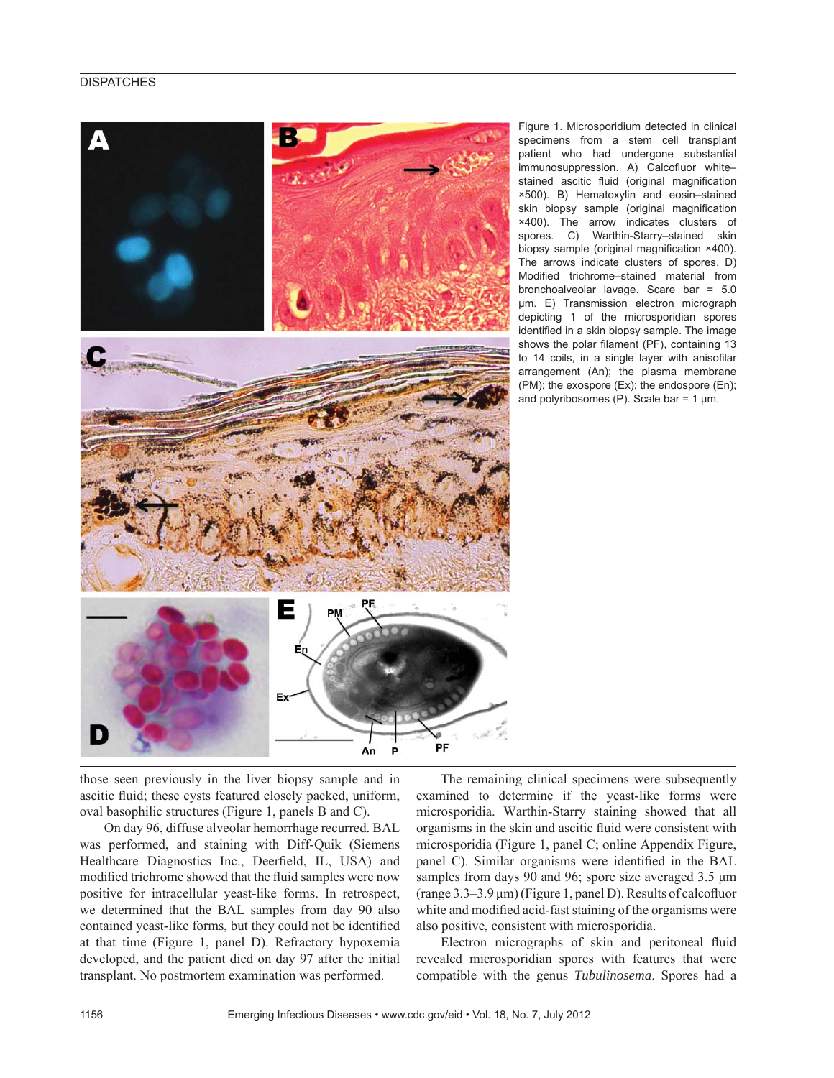## **DISPATCHES**



Figure 1. Microsporidium detected in clinical specimens from a stem cell transplant patient who had undergone substantial immunosuppression. A) Calcofluor whitestained ascitic fluid (original magnification ×500). B) Hematoxylin and eosin–stained skin biopsy sample (original magnification ×400). The arrow indicates clusters of spores. C) Warthin-Starry–stained skin biopsy sample (original magnification  $×400$ ). The arrows indicate clusters of spores. D) Modified trichrome–stained material from bronchoalveolar lavage. Scare bar = 5.0 μm. E) Transmission electron micrograph depicting 1 of the microsporidian spores identified in a skin biopsy sample. The image shows the polar filament (PF), containing 13 to 14 coils, in a single layer with anisofilar arrangement (An); the plasma membrane (PM); the exospore (Ex); the endospore (En); and polyribosomes (P). Scale bar =  $1 \mu m$ .

those seen previously in the liver biopsy sample and in ascitic fluid; these cysts featured closely packed, uniform, oval basophilic structures (Figure 1, panels B and C).

On day 96, diffuse alveolar hemorrhage recurred. BAL was performed, and staining with Diff-Quik (Siemens Healthcare Diagnostics Inc., Deerfield, IL, USA) and modified trichrome showed that the fluid samples were now positive for intracellular yeast-like forms. In retrospect, we determined that the BAL samples from day 90 also contained yeast-like forms, but they could not be identified at that time (Figure 1, panel D). Refractory hypoxemia developed, and the patient died on day 97 after the initial transplant. No postmortem examination was performed.

The remaining clinical specimens were subsequently examined to determine if the yeast-like forms were microsporidia. Warthin-Starry staining showed that all organisms in the skin and ascitic fluid were consistent with microsporidia (Figure 1, panel C; online Appendix Figure, panel C). Similar organisms were identified in the BAL samples from days 90 and 96; spore size averaged 3.5 μm  $(\text{range } 3.3-3.9 \,\mu\text{m})$  (Figure 1, panel D). Results of calcofluor white and modified acid-fast staining of the organisms were also positive, consistent with microsporidia.

Electron micrographs of skin and peritoneal fluid revealed microsporidian spores with features that were compatible with the genus *Tubulinosema*. Spores had a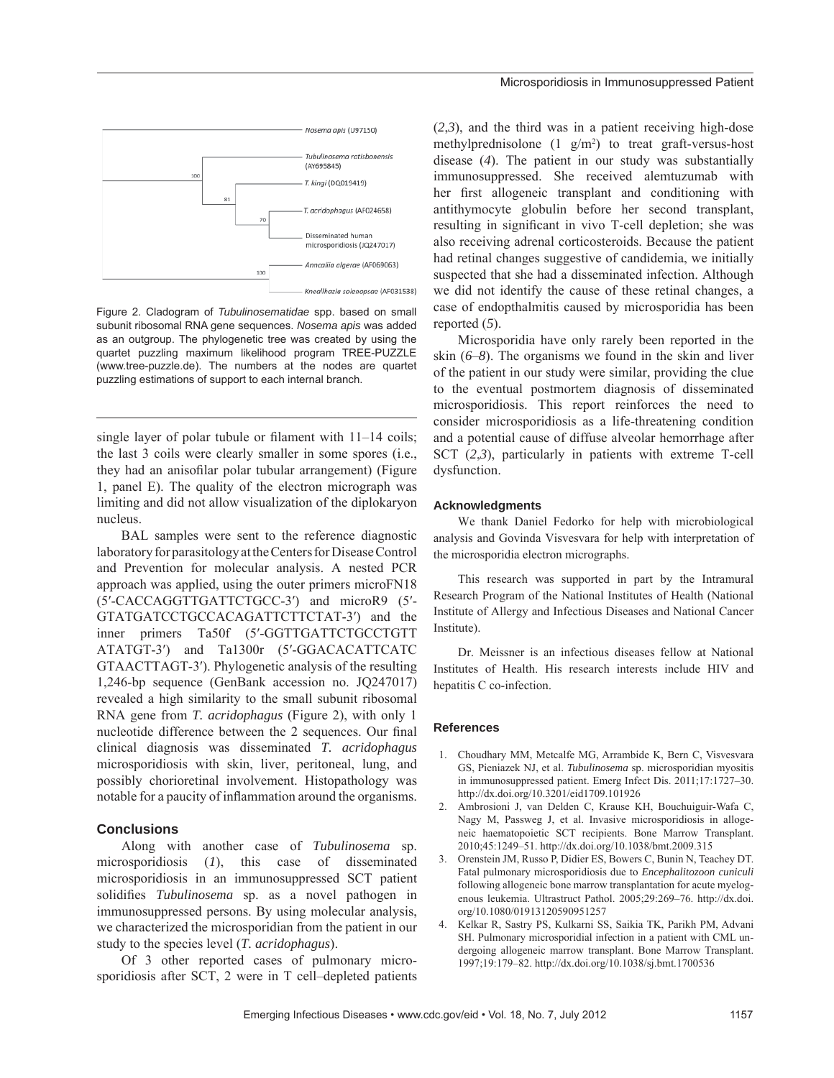

Figure 2. Cladogram of *Tubulinosematidae* spp. based on small subunit ribosomal RNA gene sequences. *Nosema apis* was added as an outgroup. The phylogenetic tree was created by using the quartet puzzling maximum likelihood program TREE-PUZZLE (www.tree-puzzle.de). The numbers at the nodes are quartet puzzling estimations of support to each internal branch.

single layer of polar tubule or filament with  $11-14$  coils; the last 3 coils were clearly smaller in some spores (i.e., they had an anisofilar polar tubular arrangement) (Figure 1, panel E). The quality of the electron micrograph was limiting and did not allow visualization of the diplokaryon nucleus.

BAL samples were sent to the reference diagnostic laboratory for parasitology at the Centers for Disease Control and Prevention for molecular analysis. A nested PCR approach was applied, using the outer primers microFN18 (5′-CACCAGGTTGATTCTGCC-3′) and microR9 (5′- GTATGATCCTGCCACAGATTCTTCTAT-3′) and the inner primers Ta50f (5′-GGTTGATTCTGCCTGTT ATATGT-3′) and Ta1300r (5′-GGACACATTCATC GTAACTTAGT-3′). Phylogenetic analysis of the resulting 1,246-bp sequence (GenBank accession no. JQ247017) revealed a high similarity to the small subunit ribosomal RNA gene from *T. acridophagus* (Figure 2), with only 1 nucleotide difference between the 2 sequences. Our final clinical diagnosis was disseminated *T. acridophagus* microsporidiosis with skin, liver, peritoneal, lung, and possibly chorioretinal involvement. Histopathology was notable for a paucity of inflammation around the organisms.

#### **Conclusions**

Along with another case of *Tubulinosema* sp. microsporidiosis (*1*), this case of disseminated microsporidiosis in an immunosuppressed SCT patient solidifies *Tubulinosema* sp. as a novel pathogen in immunosuppressed persons. By using molecular analysis, we characterized the microsporidian from the patient in our study to the species level (*T. acridophagus*).

Of 3 other reported cases of pulmonary microsporidiosis after SCT, 2 were in T cell–depleted patients (*2*,*3*), and the third was in a patient receiving high-dose methylprednisolone  $(1 \text{ g/m}^2)$  to treat graft-versus-host disease (*4*). The patient in our study was substantially immunosuppressed. She received alemtuzumab with her first allogeneic transplant and conditioning with antithymocyte globulin before her second transplant, resulting in significant in vivo T-cell depletion; she was also receiving adrenal corticosteroids. Because the patient had retinal changes suggestive of candidemia, we initially suspected that she had a disseminated infection. Although we did not identify the cause of these retinal changes, a case of endopthalmitis caused by microsporidia has been reported (*5*).

Microsporidia have only rarely been reported in the skin (*6*–*8*). The organisms we found in the skin and liver of the patient in our study were similar, providing the clue to the eventual postmortem diagnosis of disseminated microsporidiosis. This report reinforces the need to consider microsporidiosis as a life-threatening condition and a potential cause of diffuse alveolar hemorrhage after SCT (*2*,*3*), particularly in patients with extreme T-cell dysfunction.

#### **Acknowledgments**

We thank Daniel Fedorko for help with microbiological analysis and Govinda Visvesvara for help with interpretation of the microsporidia electron micrographs.

This research was supported in part by the Intramural Research Program of the National Institutes of Health (National Institute of Allergy and Infectious Diseases and National Cancer Institute).

Dr. Meissner is an infectious diseases fellow at National Institutes of Health. His research interests include HIV and hepatitis C co-infection.

## **References**

- 1. Choudhary MM, Metcalfe MG, Arrambide K, Bern C, Visvesvara GS, Pieniazek NJ, et al. *Tubulinosema* sp. microsporidian myositis in immunosuppressed patient. Emerg Infect Dis. 2011;17:1727–30. http://dx.doi.org/10.3201/eid1709.101926
- 2. Ambrosioni J, van Delden C, Krause KH, Bouchuiguir-Wafa C, Nagy M, Passweg J, et al. Invasive microsporidiosis in allogeneic haematopoietic SCT recipients. Bone Marrow Transplant. 2010;45:1249–51. http://dx.doi.org/10.1038/bmt.2009.315
- 3. Orenstein JM, Russo P, Didier ES, Bowers C, Bunin N, Teachey DT. Fatal pulmonary microsporidiosis due to *Encephalitozoon cuniculi* following allogeneic bone marrow transplantation for acute myelogenous leukemia. Ultrastruct Pathol. 2005;29:269–76. http://dx.doi. org/10.1080/01913120590951257
- 4. Kelkar R, Sastry PS, Kulkarni SS, Saikia TK, Parikh PM, Advani SH. Pulmonary microsporidial infection in a patient with CML undergoing allogeneic marrow transplant. Bone Marrow Transplant. 1997;19:179–82. http://dx.doi.org/10.1038/sj.bmt.1700536